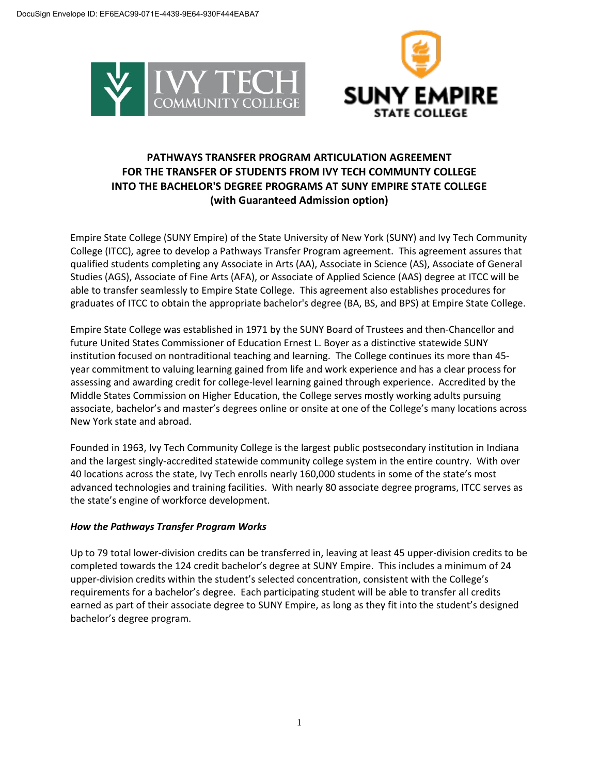



# **PATHWAYS TRANSFER PROGRAM ARTICULATION AGREEMENT FOR THE TRANSFER OF STUDENTS FROM IVY TECH COMMUNTY COLLEGE INTO THE BACHELOR'S DEGREE PROGRAMS AT SUNY EMPIRE STATE COLLEGE (with Guaranteed Admission option)**

Empire State College (SUNY Empire) of the State University of New York (SUNY) and Ivy Tech Community College (ITCC), agree to develop a Pathways Transfer Program agreement. This agreement assures that qualified students completing any Associate in Arts (AA), Associate in Science (AS), Associate of General Studies (AGS), Associate of Fine Arts (AFA), or Associate of Applied Science (AAS) degree at ITCC will be able to transfer seamlessly to Empire State College. This agreement also establishes procedures for graduates of ITCC to obtain the appropriate bachelor's degree (BA, BS, and BPS) at Empire State College.

Empire State College was established in 1971 by the SUNY Board of Trustees and then-Chancellor and future United States Commissioner of Education Ernest L. Boyer as a distinctive statewide SUNY institution focused on nontraditional teaching and learning. The College continues its more than 45 year commitment to valuing learning gained from life and work experience and has a clear process for assessing and awarding credit for college-level learning gained through experience. Accredited by the Middle States Commission on Higher Education, the College serves mostly working adults pursuing associate, bachelor's and master's degrees online or onsite at one of the College's many locations across New York state and abroad.

Founded in 1963, Ivy Tech Community College is the largest public postsecondary institution in Indiana and the largest singly-accredited statewide community college system in the entire country. With over 40 locations across the state, Ivy Tech enrolls nearly 160,000 students in some of the state's most advanced technologies and training facilities. With nearly 80 associate degree programs, ITCC serves as the state's engine of workforce development.

## *How the Pathways Transfer Program Works*

Up to 79 total lower-division credits can be transferred in, leaving at least 45 upper-division credits to be completed towards the 124 credit bachelor's degree at SUNY Empire. This includes a minimum of 24 upper-division credits within the student's selected concentration, consistent with the College's requirements for a bachelor's degree. Each participating student will be able to transfer all credits earned as part of their associate degree to SUNY Empire, as long as they fit into the student's designed bachelor's degree program.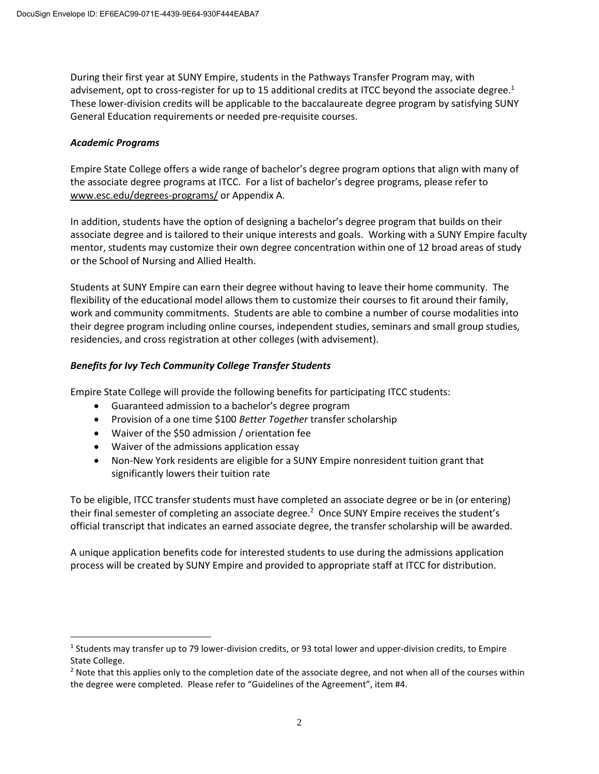During their first year at SUNY Empire, students in the Pathways Transfer Program may, with advisement, opt to cross-register for up to 15 additional credits at ITCC beyond the associate degree.<sup>1</sup> These lower-division credits will be applicable to the baccalaureate degree program by satisfying SUNY General Education requirements or needed pre-requisite courses.

### *Academic Programs*

 $\overline{a}$ 

Empire State College offers a wide range of bachelor's degree program options that align with many of the associate degree programs at ITCC. For a list of bachelor's degree programs, please refer to www.esc.edu/degrees-programs/ or Appendix A.

In addition, students have the option of designing a bachelor's degree program that builds on their associate degree and is tailored to their unique interests and goals. Working with a SUNY Empire faculty mentor, students may customize their own degree concentration within one of 12 broad areas of study or the School of Nursing and Allied Health.

Students at SUNY Empire can earn their degree without having to leave their home community. The flexibility of the educational model allows them to customize their courses to fit around their family, work and community commitments. Students are able to combine a number of course modalities into their degree program including online courses, independent studies, seminars and small group studies, residencies, and cross registration at other colleges (with advisement).

### *Benefits for Ivy Tech Community College Transfer Students*

Empire State College will provide the following benefits for participating ITCC students:

- Guaranteed admission to a bachelor's degree program
- Provision of a one time \$100 *Better Together* transfer scholarship
- Waiver of the \$50 admission / orientation fee
- Waiver of the admissions application essay
- Non-New York residents are eligible for a SUNY Empire nonresident tuition grant that significantly lowers their tuition rate

To be eligible, ITCC transfer students must have completed an associate degree or be in (or entering) their final semester of completing an associate degree.<sup>2</sup> Once SUNY Empire receives the student's official transcript that indicates an earned associate degree, the transfer scholarship will be awarded.

A unique application benefits code for interested students to use during the admissions application process will be created by SUNY Empire and provided to appropriate staff at ITCC for distribution.

 $<sup>1</sup>$  Students may transfer up to 79 lower-division credits, or 93 total lower and upper-division credits, to Empire</sup> State College.

 $2$  Note that this applies only to the completion date of the associate degree, and not when all of the courses within the degree were completed. Please refer to "Guidelines of the Agreement", item #4.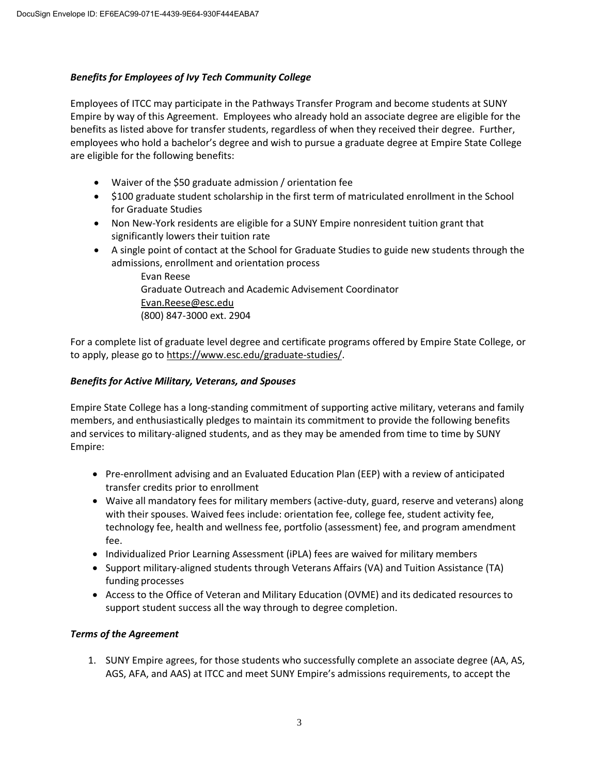### *Benefits for Employees of Ivy Tech Community College*

Employees of ITCC may participate in the Pathways Transfer Program and become students at SUNY Empire by way of this Agreement. Employees who already hold an associate degree are eligible for the benefits as listed above for transfer students, regardless of when they received their degree. Further, employees who hold a bachelor's degree and wish to pursue a graduate degree at Empire State College are eligible for the following benefits:

- Waiver of the \$50 graduate admission / orientation fee
- \$100 graduate student scholarship in the first term of matriculated enrollment in the School for Graduate Studies
- Non New-York residents are eligible for a SUNY Empire nonresident tuition grant that significantly lowers their tuition rate
- A single point of contact at the School for Graduate Studies to guide new students through the admissions, enrollment and orientation process

Evan Reese Graduate Outreach and Academic Advisement Coordinator Evan.Reese@esc.edu (800) 847-3000 ext. 2904

For a complete list of graduate level degree and certificate programs offered by Empire State College, or to apply, please go to https://www.esc.edu/graduate-studies/.

### *Benefits for Active Military, Veterans, and Spouses*

Empire State College has a long-standing commitment of supporting active military, veterans and family members, and enthusiastically pledges to maintain its commitment to provide the following benefits and services to military-aligned students, and as they may be amended from time to time by SUNY Empire:

- Pre-enrollment advising and an Evaluated Education Plan (EEP) with a review of anticipated transfer credits prior to enrollment
- Waive all mandatory fees for military members (active-duty, guard, reserve and veterans) along with their spouses. Waived fees include: orientation fee, college fee, student activity fee, technology fee, health and wellness fee, portfolio (assessment) fee, and program amendment fee.
- Individualized Prior Learning Assessment (iPLA) fees are waived for military members
- Support military-aligned students through Veterans Affairs (VA) and Tuition Assistance (TA) funding processes
- Access to the Office of Veteran and Military Education (OVME) and its dedicated resources to support student success all the way through to degree completion.

#### *Terms of the Agreement*

1. SUNY Empire agrees, for those students who successfully complete an associate degree (AA, AS, AGS, AFA, and AAS) at ITCC and meet SUNY Empire's admissions requirements, to accept the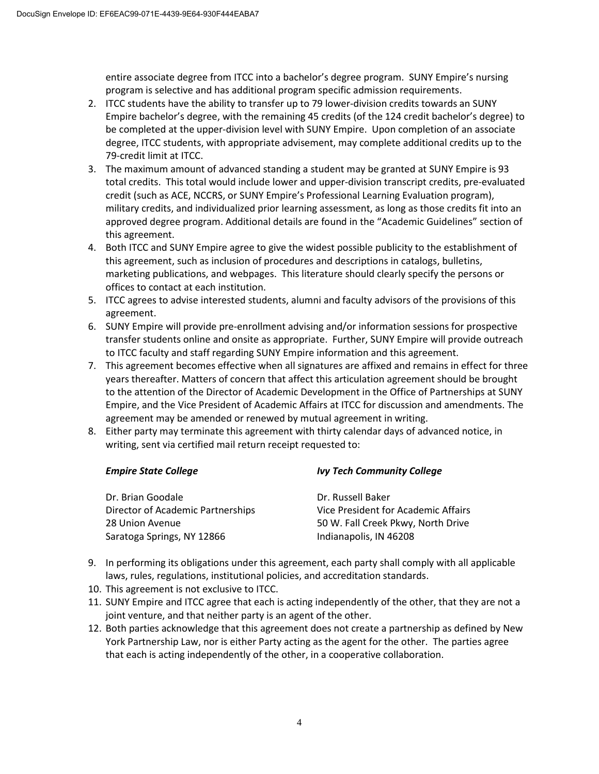entire associate degree from ITCC into a bachelor's degree program. SUNY Empire's nursing program is selective and has additional program specific admission requirements.

- 2. ITCC students have the ability to transfer up to 79 lower-division credits towards an SUNY Empire bachelor's degree, with the remaining 45 credits (of the 124 credit bachelor's degree) to be completed at the upper-division level with SUNY Empire. Upon completion of an associate degree, ITCC students, with appropriate advisement, may complete additional credits up to the 79-credit limit at ITCC.
- 3. The maximum amount of advanced standing a student may be granted at SUNY Empire is 93 total credits. This total would include lower and upper-division transcript credits, pre-evaluated credit (such as ACE, NCCRS, or SUNY Empire's Professional Learning Evaluation program), military credits, and individualized prior learning assessment, as long as those credits fit into an approved degree program. Additional details are found in the "Academic Guidelines" section of this agreement.
- 4. Both ITCC and SUNY Empire agree to give the widest possible publicity to the establishment of this agreement, such as inclusion of procedures and descriptions in catalogs, bulletins, marketing publications, and webpages. This literature should clearly specify the persons or offices to contact at each institution.
- 5. ITCC agrees to advise interested students, alumni and faculty advisors of the provisions of this agreement.
- 6. SUNY Empire will provide pre-enrollment advising and/or information sessions for prospective transfer students online and onsite as appropriate. Further, SUNY Empire will provide outreach to ITCC faculty and staff regarding SUNY Empire information and this agreement.
- 7. This agreement becomes effective when all signatures are affixed and remains in effect for three years thereafter. Matters of concern that affect this articulation agreement should be brought to the attention of the Director of Academic Development in the Office of Partnerships at SUNY Empire, and the Vice President of Academic Affairs at ITCC for discussion and amendments. The agreement may be amended or renewed by mutual agreement in writing.
- 8. Either party may terminate this agreement with thirty calendar days of advanced notice, in writing, sent via certified mail return receipt requested to:

#### *Empire State College Ivy Tech Community College*

| Dr. Brian Goodale                 | Dr. Russell Baker                   |
|-----------------------------------|-------------------------------------|
| Director of Academic Partnerships | Vice President for Academic Affairs |
| 28 Union Avenue                   | 50 W. Fall Creek Pkwy, North Drive  |
| Saratoga Springs, NY 12866        | Indianapolis, IN 46208              |

- 9. In performing its obligations under this agreement, each party shall comply with all applicable laws, rules, regulations, institutional policies, and accreditation standards.
- 10. This agreement is not exclusive to ITCC.
- 11. SUNY Empire and ITCC agree that each is acting independently of the other, that they are not a joint venture, and that neither party is an agent of the other.
- 12. Both parties acknowledge that this agreement does not create a partnership as defined by New York Partnership Law, nor is either Party acting as the agent for the other. The parties agree that each is acting independently of the other, in a cooperative collaboration.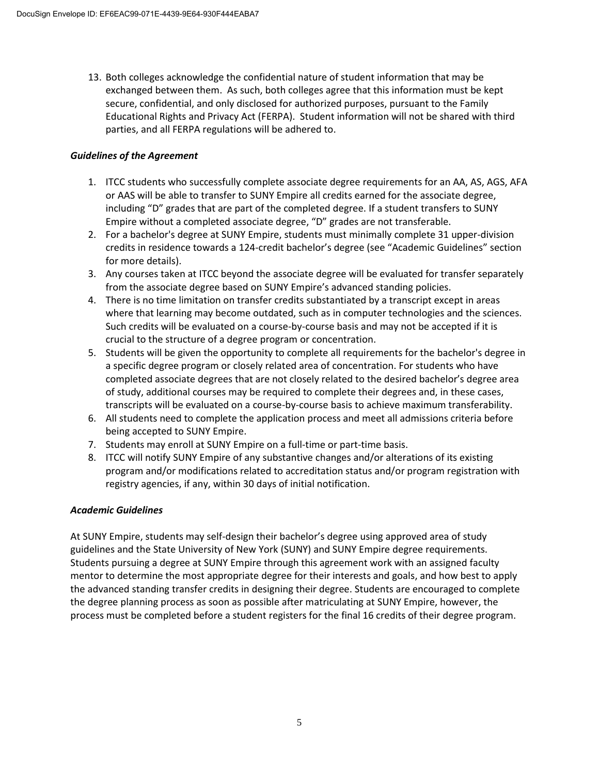13. Both colleges acknowledge the confidential nature of student information that may be exchanged between them. As such, both colleges agree that this information must be kept secure, confidential, and only disclosed for authorized purposes, pursuant to the Family Educational Rights and Privacy Act (FERPA). Student information will not be shared with third parties, and all FERPA regulations will be adhered to.

### *Guidelines of the Agreement*

- 1. ITCC students who successfully complete associate degree requirements for an AA, AS, AGS, AFA or AAS will be able to transfer to SUNY Empire all credits earned for the associate degree, including "D" grades that are part of the completed degree. If a student transfers to SUNY Empire without a completed associate degree, "D" grades are not transferable.
- 2. For a bachelor's degree at SUNY Empire, students must minimally complete 31 upper-division credits in residence towards a 124-credit bachelor's degree (see "Academic Guidelines" section for more details).
- 3. Any courses taken at ITCC beyond the associate degree will be evaluated for transfer separately from the associate degree based on SUNY Empire's advanced standing policies.
- 4. There is no time limitation on transfer credits substantiated by a transcript except in areas where that learning may become outdated, such as in computer technologies and the sciences. Such credits will be evaluated on a course-by-course basis and may not be accepted if it is crucial to the structure of a degree program or concentration.
- 5. Students will be given the opportunity to complete all requirements for the bachelor's degree in a specific degree program or closely related area of concentration. For students who have completed associate degrees that are not closely related to the desired bachelor's degree area of study, additional courses may be required to complete their degrees and, in these cases, transcripts will be evaluated on a course-by-course basis to achieve maximum transferability.
- 6. All students need to complete the application process and meet all admissions criteria before being accepted to SUNY Empire.
- 7. Students may enroll at SUNY Empire on a full-time or part-time basis.
- 8. ITCC will notify SUNY Empire of any substantive changes and/or alterations of its existing program and/or modifications related to accreditation status and/or program registration with registry agencies, if any, within 30 days of initial notification.

#### *Academic Guidelines*

At SUNY Empire, students may self-design their bachelor's degree using approved area of study guidelines and the State University of New York (SUNY) and SUNY Empire degree requirements. Students pursuing a degree at SUNY Empire through this agreement work with an assigned faculty mentor to determine the most appropriate degree for their interests and goals, and how best to apply the advanced standing transfer credits in designing their degree. Students are encouraged to complete the degree planning process as soon as possible after matriculating at SUNY Empire, however, the process must be completed before a student registers for the final 16 credits of their degree program.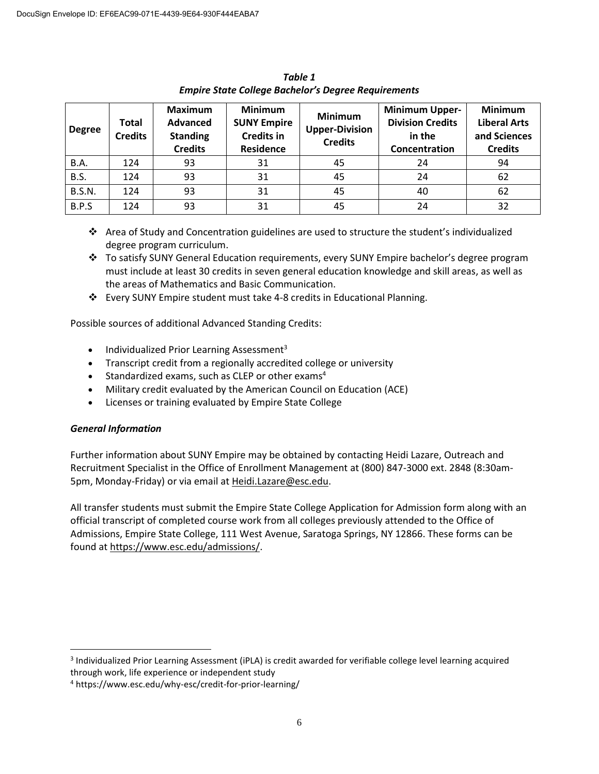| <b>Degree</b> | <b>Total</b><br><b>Credits</b> | <b>Maximum</b><br>Advanced<br><b>Standing</b><br><b>Credits</b> | <b>Minimum</b><br><b>SUNY Empire</b><br><b>Credits in</b><br><b>Residence</b> | <b>Minimum</b><br><b>Upper-Division</b><br><b>Credits</b> | <b>Minimum Upper-</b><br><b>Division Credits</b><br>in the<br>Concentration | <b>Minimum</b><br><b>Liberal Arts</b><br>and Sciences<br><b>Credits</b> |
|---------------|--------------------------------|-----------------------------------------------------------------|-------------------------------------------------------------------------------|-----------------------------------------------------------|-----------------------------------------------------------------------------|-------------------------------------------------------------------------|
| <b>B.A.</b>   | 124                            | 93                                                              | 31                                                                            | 45                                                        | 24                                                                          | 94                                                                      |
| B.S.          | 124                            | 93                                                              | 31                                                                            | 45                                                        | 24                                                                          | 62                                                                      |
| <b>B.S.N.</b> | 124                            | 93                                                              | 31                                                                            | 45                                                        | 40                                                                          | 62                                                                      |
| B.P.S         | 124                            | 93                                                              | 31                                                                            | 45                                                        | 24                                                                          | 32                                                                      |

*Table 1 Empire State College Bachelor's Degree Requirements*

- ❖ Area of Study and Concentration guidelines are used to structure the student's individualized degree program curriculum.
- ❖ To satisfy SUNY General Education requirements, every SUNY Empire bachelor's degree program must include at least 30 credits in seven general education knowledge and skill areas, as well as the areas of Mathematics and Basic Communication.
- ❖ Every SUNY Empire student must take 4-8 credits in Educational Planning.

Possible sources of additional Advanced Standing Credits:

- Individualized Prior Learning Assessment<sup>3</sup>
- Transcript credit from a regionally accredited college or university
- Standardized exams, such as CLEP or other exams<sup>4</sup>
- Military credit evaluated by the American Council on Education (ACE)
- Licenses or training evaluated by Empire State College

## *General Information*

Further information about SUNY Empire may be obtained by contacting Heidi Lazare, Outreach and Recruitment Specialist in the Office of Enrollment Management at (800) 847-3000 ext. 2848 (8:30am-5pm, Monday-Friday) or via email at Heidi.Lazare@esc.edu.

All transfer students must submit the Empire State College Application for Admission form along with an official transcript of completed course work from all colleges previously attended to the Office of Admissions, Empire State College, 111 West Avenue, Saratoga Springs, NY 12866. These forms can be found at https://www.esc.edu/admissions/.

 $\overline{a}$ <sup>3</sup> Individualized Prior Learning Assessment (iPLA) is credit awarded for verifiable college level learning acquired through work, life experience or independent study

<sup>4</sup> https://www.esc.edu/why-esc/credit-for-prior-learning/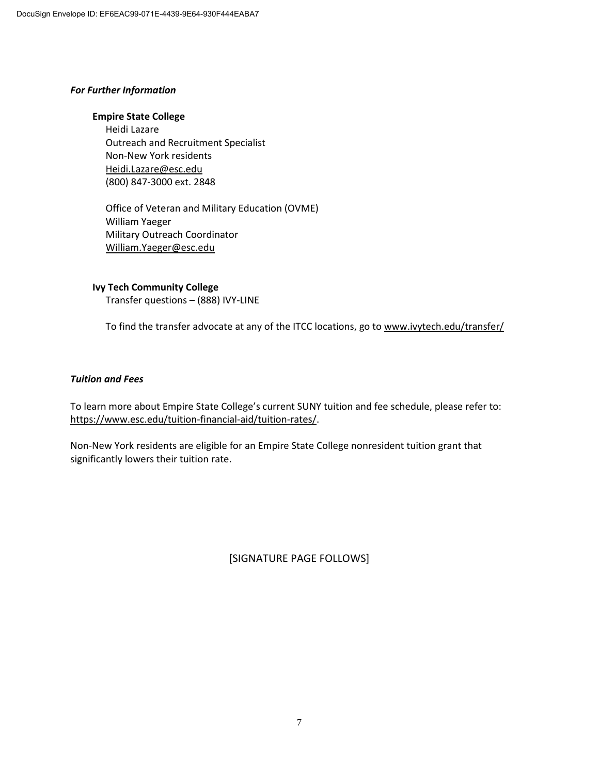#### *For Further Information*

#### **Empire State College**

Heidi Lazare Outreach and Recruitment Specialist Non-New York residents Heidi.Lazare@esc.edu (800) 847-3000 ext. 2848

Office of Veteran and Military Education (OVME) William Yaeger Military Outreach Coordinator William.Yaeger@esc.edu

**Ivy Tech Community College** Transfer questions – (888) IVY-LINE

To find the transfer advocate at any of the ITCC locations, go to www.ivytech.edu/transfer/

#### *Tuition and Fees*

To learn more about Empire State College's current SUNY tuition and fee schedule, please refer to: https://www.esc.edu/tuition-financial-aid/tuition-rates/.

Non-New York residents are eligible for an Empire State College nonresident tuition grant that significantly lowers their tuition rate.

[SIGNATURE PAGE FOLLOWS]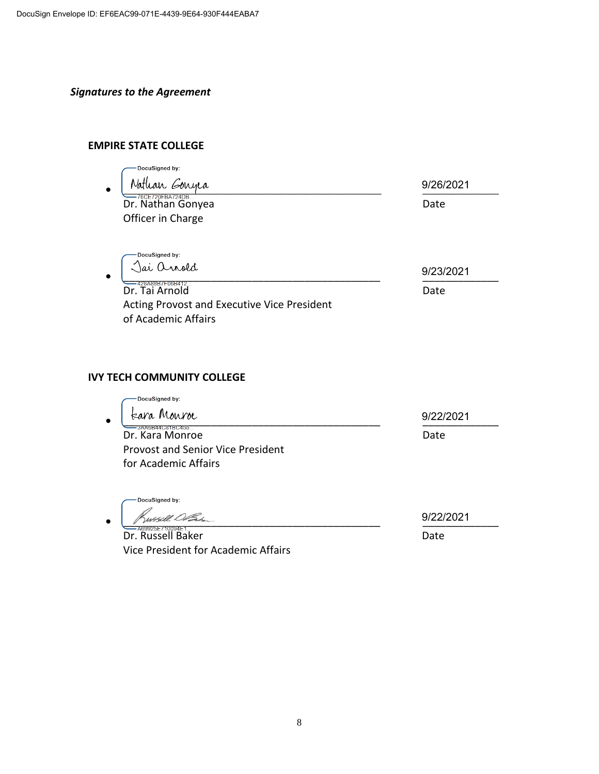# *Signatures to the Agreement*

## **EMPIRE STATE COLLEGE**

| DocuSigned by:                              |           |
|---------------------------------------------|-----------|
| Nathan Gonyea<br>$\bullet$                  | 9/26/2021 |
| 76CE720FBA724DB<br>Dr. Nathan Gonyea        | Date      |
| Officer in Charge                           |           |
|                                             |           |
| DocuSigned by:                              |           |
| Jai anold<br>$\bullet$                      | 9/23/2021 |
| 428A88B7F06B412<br>Dr. Tai Arnold           | Date      |
| Acting Provost and Executive Vice President |           |

### **IVY TECH COMMUNITY COLLEGE**

of Academic Affairs

| tara Monroe                              | 9/22/2021 |
|------------------------------------------|-----------|
| -3AA6B44C81BC455<br>Dr. Kara Monroe      | Date      |
| <b>Provost and Senior Vice President</b> |           |
| for Academic Affairs                     |           |

DocuSigned by: · Kussell DBs

Dr. Russell Baker Date Vice President for Academic Affairs

9/22/2021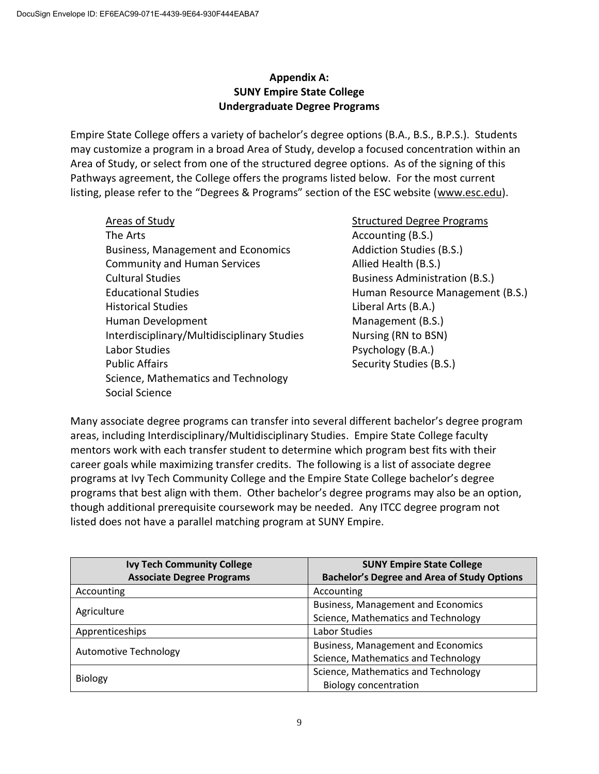# **Appendix A: SUNY Empire State College Undergraduate Degree Programs**

Empire State College offers a variety of bachelor's degree options (B.A., B.S., B.P.S.). Students may customize a program in a broad Area of Study, develop a focused concentration within an Area of Study, or select from one of the structured degree options. As of the signing of this Pathways agreement, the College offers the programs listed below. For the most current listing, please refer to the "Degrees & Programs" section of the ESC website (www.esc.edu).

Areas of Study Structured Degree Programs The Arts **Accounting (B.S.) Accounting (B.S.**) Business, Management and Economics The Addiction Studies (B.S.) Community and Human Services Allied Health (B.S.) Cultural Studies Business Administration (B.S.) Educational Studies **Human Resource Management (B.S.)** Historical Studies **Liberal Arts (B.A.)** Human Development Management (B.S.) Interdisciplinary/Multidisciplinary Studies Nursing (RN to BSN) Labor Studies **Psychology** (B.A.) Public Affairs **Security Studies (B.S.)** Security Studies (B.S.) Science, Mathematics and Technology Social Science

Many associate degree programs can transfer into several different bachelor's degree program areas, including Interdisciplinary/Multidisciplinary Studies. Empire State College faculty mentors work with each transfer student to determine which program best fits with their career goals while maximizing transfer credits. The following is a list of associate degree programs at Ivy Tech Community College and the Empire State College bachelor's degree programs that best align with them. Other bachelor's degree programs may also be an option, though additional prerequisite coursework may be needed. Any ITCC degree program not listed does not have a parallel matching program at SUNY Empire.

| <b>Ivy Tech Community College</b> | <b>SUNY Empire State College</b>                   |
|-----------------------------------|----------------------------------------------------|
| <b>Associate Degree Programs</b>  | <b>Bachelor's Degree and Area of Study Options</b> |
| Accounting                        | Accounting                                         |
| Agriculture                       | <b>Business, Management and Economics</b>          |
|                                   | Science, Mathematics and Technology                |
| Apprenticeships                   | Labor Studies                                      |
| <b>Automotive Technology</b>      | <b>Business, Management and Economics</b>          |
|                                   | Science, Mathematics and Technology                |
| <b>Biology</b>                    | Science, Mathematics and Technology                |
|                                   | <b>Biology concentration</b>                       |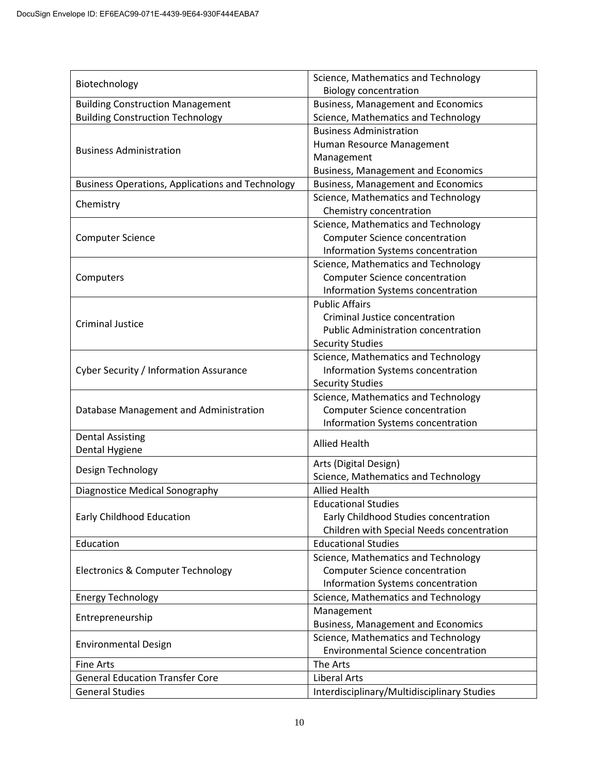| Biotechnology                                           | Science, Mathematics and Technology         |  |
|---------------------------------------------------------|---------------------------------------------|--|
|                                                         | <b>Biology concentration</b>                |  |
| <b>Building Construction Management</b>                 | <b>Business, Management and Economics</b>   |  |
| <b>Building Construction Technology</b>                 | Science, Mathematics and Technology         |  |
|                                                         | <b>Business Administration</b>              |  |
| <b>Business Administration</b>                          | Human Resource Management                   |  |
|                                                         | Management                                  |  |
|                                                         | <b>Business, Management and Economics</b>   |  |
| <b>Business Operations, Applications and Technology</b> | <b>Business, Management and Economics</b>   |  |
| Chemistry                                               | Science, Mathematics and Technology         |  |
|                                                         | Chemistry concentration                     |  |
|                                                         | Science, Mathematics and Technology         |  |
| <b>Computer Science</b>                                 | <b>Computer Science concentration</b>       |  |
|                                                         | Information Systems concentration           |  |
|                                                         | Science, Mathematics and Technology         |  |
| Computers                                               | <b>Computer Science concentration</b>       |  |
|                                                         | Information Systems concentration           |  |
|                                                         | <b>Public Affairs</b>                       |  |
| <b>Criminal Justice</b>                                 | Criminal Justice concentration              |  |
|                                                         | <b>Public Administration concentration</b>  |  |
|                                                         | <b>Security Studies</b>                     |  |
|                                                         | Science, Mathematics and Technology         |  |
| Cyber Security / Information Assurance                  | Information Systems concentration           |  |
|                                                         | <b>Security Studies</b>                     |  |
|                                                         | Science, Mathematics and Technology         |  |
| Database Management and Administration                  | <b>Computer Science concentration</b>       |  |
|                                                         | Information Systems concentration           |  |
| <b>Dental Assisting</b>                                 | <b>Allied Health</b>                        |  |
| Dental Hygiene                                          |                                             |  |
|                                                         | Arts (Digital Design)                       |  |
| Design Technology                                       | Science, Mathematics and Technology         |  |
| Diagnostice Medical Sonography                          | <b>Allied Health</b>                        |  |
|                                                         | <b>Educational Studies</b>                  |  |
| Early Childhood Education                               | Early Childhood Studies concentration       |  |
|                                                         | Children with Special Needs concentration   |  |
| Education                                               | <b>Educational Studies</b>                  |  |
| <b>Electronics &amp; Computer Technology</b>            | Science, Mathematics and Technology         |  |
|                                                         | <b>Computer Science concentration</b>       |  |
|                                                         | Information Systems concentration           |  |
| <b>Energy Technology</b>                                | Science, Mathematics and Technology         |  |
| Entrepreneurship                                        | Management                                  |  |
|                                                         | <b>Business, Management and Economics</b>   |  |
|                                                         | Science, Mathematics and Technology         |  |
| <b>Environmental Design</b>                             | <b>Environmental Science concentration</b>  |  |
| <b>Fine Arts</b>                                        | The Arts                                    |  |
| <b>General Education Transfer Core</b>                  | <b>Liberal Arts</b>                         |  |
| <b>General Studies</b>                                  | Interdisciplinary/Multidisciplinary Studies |  |
|                                                         |                                             |  |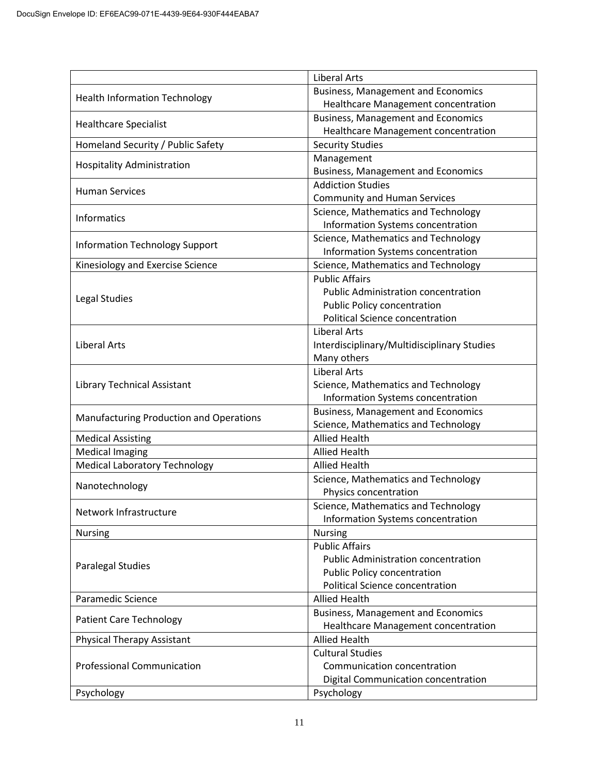|                                         | <b>Liberal Arts</b>                                          |  |
|-----------------------------------------|--------------------------------------------------------------|--|
| <b>Health Information Technology</b>    | <b>Business, Management and Economics</b>                    |  |
|                                         | Healthcare Management concentration                          |  |
| <b>Healthcare Specialist</b>            | <b>Business, Management and Economics</b>                    |  |
|                                         | Healthcare Management concentration                          |  |
| Homeland Security / Public Safety       | <b>Security Studies</b>                                      |  |
| <b>Hospitality Administration</b>       | Management                                                   |  |
|                                         | <b>Business, Management and Economics</b>                    |  |
| <b>Human Services</b>                   | <b>Addiction Studies</b>                                     |  |
|                                         | <b>Community and Human Services</b>                          |  |
| Informatics                             | Science, Mathematics and Technology                          |  |
|                                         | Information Systems concentration                            |  |
| <b>Information Technology Support</b>   | Science, Mathematics and Technology                          |  |
|                                         | Information Systems concentration                            |  |
| Kinesiology and Exercise Science        | Science, Mathematics and Technology<br><b>Public Affairs</b> |  |
|                                         | <b>Public Administration concentration</b>                   |  |
| Legal Studies                           | Public Policy concentration                                  |  |
|                                         | <b>Political Science concentration</b>                       |  |
|                                         | <b>Liberal Arts</b>                                          |  |
| <b>Liberal Arts</b>                     | Interdisciplinary/Multidisciplinary Studies                  |  |
|                                         | Many others                                                  |  |
|                                         | <b>Liberal Arts</b>                                          |  |
| Library Technical Assistant             | Science, Mathematics and Technology                          |  |
|                                         | Information Systems concentration                            |  |
|                                         | <b>Business, Management and Economics</b>                    |  |
| Manufacturing Production and Operations | Science, Mathematics and Technology                          |  |
| <b>Medical Assisting</b>                | <b>Allied Health</b>                                         |  |
| <b>Medical Imaging</b>                  | <b>Allied Health</b>                                         |  |
| <b>Medical Laboratory Technology</b>    | <b>Allied Health</b>                                         |  |
|                                         | Science, Mathematics and Technology                          |  |
| Nanotechnology                          | Physics concentration                                        |  |
| Network Infrastructure                  | Science, Mathematics and Technology                          |  |
|                                         | Information Systems concentration                            |  |
| Nursing                                 | <b>Nursing</b>                                               |  |
|                                         | <b>Public Affairs</b>                                        |  |
| <b>Paralegal Studies</b>                | <b>Public Administration concentration</b>                   |  |
|                                         | Public Policy concentration                                  |  |
|                                         | <b>Political Science concentration</b>                       |  |
| Paramedic Science                       | <b>Allied Health</b>                                         |  |
| <b>Patient Care Technology</b>          | <b>Business, Management and Economics</b>                    |  |
|                                         | Healthcare Management concentration                          |  |
| <b>Physical Therapy Assistant</b>       | <b>Allied Health</b>                                         |  |
|                                         | <b>Cultural Studies</b>                                      |  |
| <b>Professional Communication</b>       | Communication concentration                                  |  |
|                                         | Digital Communication concentration                          |  |
| Psychology                              | Psychology                                                   |  |